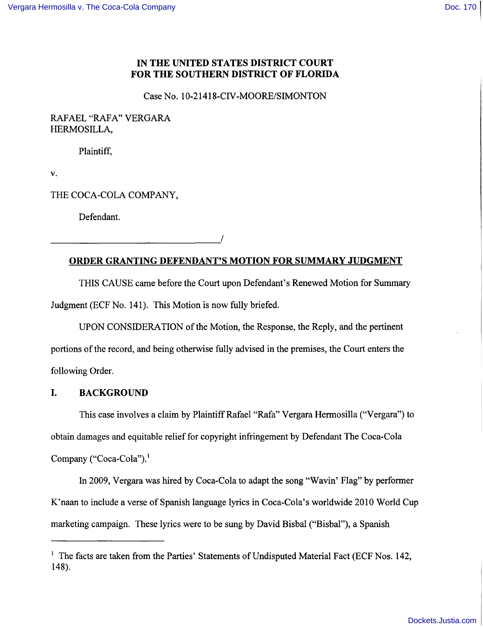# **IN THE UNITED STATES DISTRICT COURT FOR THE SOUTHERN DISTRICT OF FLORIDA**

Case No. 10-21418-CIV-MOORE/SIMONTON

# RAFAEL "RAFA" VERGARA HERMOSILLA,

Plaintiff,

v.

THE COCA-COLA COMPANY,

------------------------------,/

Defendant.

# **ORDER GRANTING DEFENDANT'S MOTION FOR SUMMARY JUDGMENT**

THIS CAUSE came before the Court upon Defendant's Renewed Motion for Summary Judgment (ECF No. 141). This Motion is now fully briefed.

UPON CONSIDERATION of the Motion, the Response, the Reply, and the pertinent portions of the record, and being otherwise fully advised in the premises, the Court enters the following Order.

# **I. BACKGROUND**

This case involves a claim by Plaintiff Rafael "Rafa" Vergara Hermosilla ("Vergara") to obtain damages and equitable relief for copyright infringement by Defendant The Coca-Cola Company ("Coca-Cola").<sup>1</sup>

In 2009, Vergara was hired by Coca-Cola to adapt the song "Wavin' Flag" by performer K'naan to include a verse of Spanish language lyrics in Coca-Cola's worldwide 2010 World Cup marketing campaign. These lyrics were to be sung by David Bisbal ("Bisbal"), a Spanish

<sup>&</sup>lt;sup>1</sup> The facts are taken from the Parties' Statements of Undisputed Material Fact (ECF Nos. 142, 148).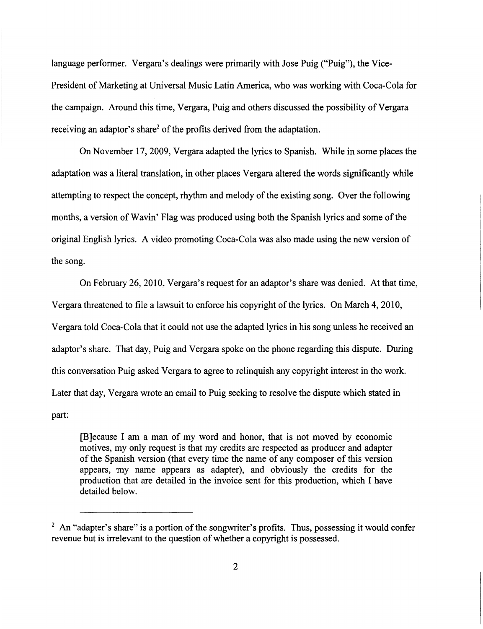language performer. Vergara's dealings were primarily with Jose Puig ("Puig"), the Vice-President of Marketing at Universal Music Latin America, who was working with Coca-Cola for the campaign. Around this time, Vergara, Puig and others discussed the possibility of Vergara receiving an adaptor's share<sup>2</sup> of the profits derived from the adaptation.

On November 17,2009, Vergara adapted the lyrics to Spanish. While in some places the adaptation was a literal translation, in other places Vergara altered the words significantly while attempting to respect the concept, rhythm and melody of the existing song. Over the following months, a version of Wavin' Flag was produced using both the Spanish lyrics and some of the original English lyrics. A video promoting Coca-Cola was also made using the new version of the song.

On February 26,2010, Vergara's request for an adaptor's share was denied. At that time, Vergara threatened to file a lawsuit to enforce his copyright of the lyrics. On March 4, 2010, Vergara told Coca-Cola that it could not use the adapted lyrics in his song unless he received an adaptor's share. That day, Puig and Vergara spoke on the phone regarding this dispute. During this conversation Puig asked Vergara to agree to relinquish any copyright interest in the work. Later that day, Vergara wrote an email to Puig seeking to resolve the dispute which stated in part:

[B]ecause I am a man of my word and honor, that is not moved by economic motives, my only request is that my credits are respected as producer and adapter of the Spanish version (that every time the name of any composer of this version appears, my name appears as adapter), and obviously the credits for the production that are detailed in the invoice sent for this production, which I have detailed below.

 $2$  An "adapter's share" is a portion of the songwriter's profits. Thus, possessing it would confer revenue but is irrelevant to the question of whether a copyright is possessed.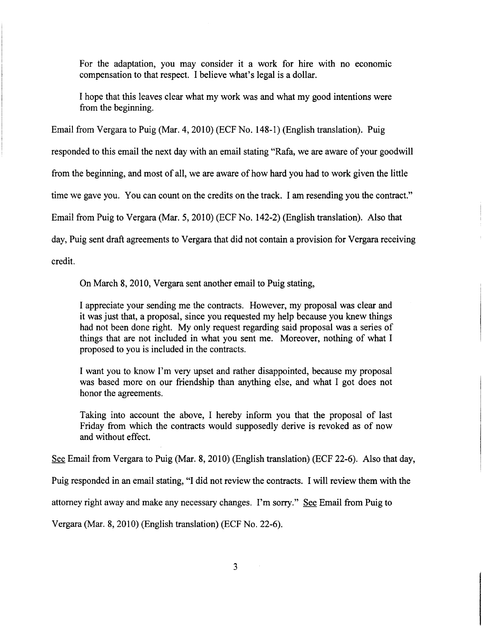For the adaptation, you may consider it a work for hire with no economic compensation to that respect. 1 believe what's legal is a dollar.

1 hope that this leaves clear what my work was and what my good intentions were from the beginning.

Email from Vergara to Puig (Mar. 4, 2010) (ECF No. 148-1) (English translation). Puig

responded to this email the next day with an email stating "Rafa, we are aware of your goodwill

from the beginning, and most of all, we are aware of how hard you had to work given the little

time we gave you. You can count on the credits on the track. 1 am resending you the contract."

Email from Puig to Vergara (Mar. 5,2010) (ECF No. 142-2) (English translation). Also that

day, Puig sent draft agreements to Vergara that did not contain a provision for Vergara receiving

credit.

**I** 

1

I I

I

On March 8, 2010, Vergara sent another email to Puig stating,

1 appreciate your sending me the contracts. However, my proposal was clear and it was just that, a proposal, since you requested my help because you knew things had not been done right. My only request regarding said proposal was a series of things that are not included in what you sent me. Moreover, nothing of what 1 proposed to you is included in the contracts.

1 want you to know I'm very upset and rather disappointed, because my proposal was based more on our friendship than anything else, and what 1 got does not honor the agreements.

Taking into account the above, 1 hereby inform you that the proposal of last Friday from which the contracts would supposedly derive is revoked as of now and without effect.

See Email from Vergara to Puig (Mar. 8,2010) (English translation) (ECF 22-6). Also that day,

Puig responded in an email stating, "I did not review the contracts. 1 will review them with the

attorney right away and make any necessary changes. I'm sorry." See Email from Puig to

Vergara (Mar. 8,2010) (English translation) (ECF No. 22-6).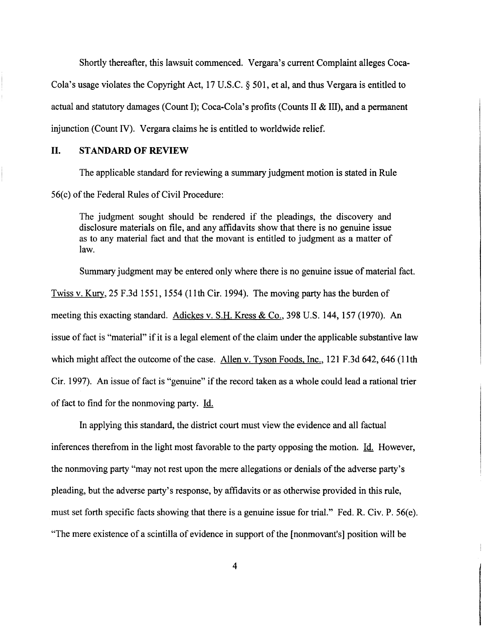Shortly thereafter, this lawsuit commenced. Vergara's current Complaint alleges Coca-Cola's usage violates the Copyright Act, 17 U.S.C. § 501, et aI, and thus Vergara is entitled to actual and statutory damages (Count I); Coca-Cola's profits (Counts II & III), and a permanent injunction (Count IV). Vergara claims he is entitled to worldwide relief.

#### II. STANDARD OF REVIEW

The applicable standard for reviewing a summary judgment motion is stated in Rule 56(c) of the Federal Rules of Civil Procedure:

The judgment sought should be rendered if the pleadings, the discovery and disclosure materials on file, and any affidavits show that there is no genuine issue as to any material fact and that the movant is entitled to judgment as a matter of law.

Summary judgment may be entered only where there is no genuine issue of material fact.

Twiss v. Kury, 25 F.3d 1551, 1554 (11th Cir. 1994). The moving party has the burden of meeting this exacting standard. Adickes v. S.H. Kress & Co., 398 U.S. 144, 157 (1970). An issue of fact is "material" if it is a legal element of the claim under the applicable substantive law which might affect the outcome of the case. Allen v. Tyson Foods, Inc., 121 F.3d 642, 646 (11th Cir. 1997). An issue of fact is "genuine" if the record taken as a whole could lead a rational trier of fact to find for the nonmoving party. Id.

In applying this standard, the district court must view the evidence and all factual inferences therefrom in the light most favorable to the party opposing the motion.  $\underline{Id}$ . However, the nonmoving party "may not rest upon the mere allegations or denials of the adverse party's pleading, but the adverse party's response, by affidavits or as otherwise provided in this rule, must set forth specific facts showing that there is a genuine issue for trial." Fed. R. Civ. P. 56(e). "The mere existence of a scintilla of evidence in support of the [nonmovant's] position will be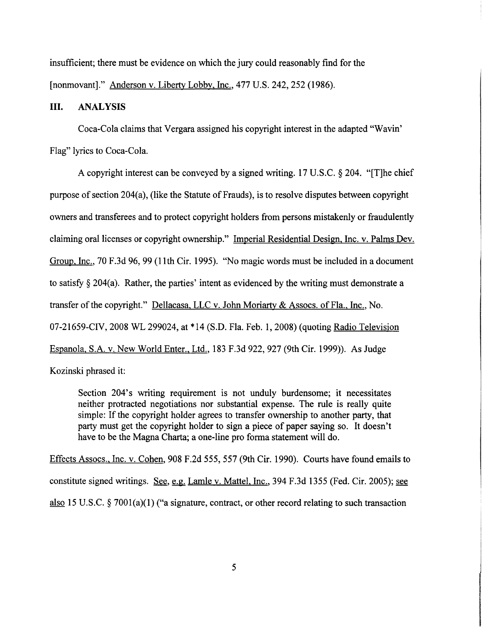insufficient; there must be evidence on which the jury could reasonably find for the [nonmovant]." Anderson v. Liberty Lobby, Inc., 477 U.S. 242,252 (1986).

# **III.** ANALYSIS

Coca-Cola claims that Vergara assigned his copyright interest in the adapted "Wavin' Flag" lyrics to Coca-Cola.

A copyright interest can be conveyed by a signed writing. 17 U.S.C. § 204. "[T]he chief purpose of section 204(a), (like the Statute of Frauds), is to resolve disputes between copyright owners and transferees and to protect copyright holders from persons mistakenly or fraudulently claiming oral licenses or copyright ownership." Imperial Residential Design, Inc. v. Palms Dev. Group, Inc., 70 F.3d 96, 99 (11th Cir. 1995). "No magic words must be included in a document to satisfy  $\S 204(a)$ . Rather, the parties' intent as evidenced by the writing must demonstrate a transfer of the copyright." Dellacasa, LLC v. John Moriarty & Assocs. of Fla., Inc., No. 07-21659-CIV, 2008 WL 299024, at \*14 (S.D. Fla. Feb. 1, 2008) (quoting Radio Television Espanola, S.A. v. New World Enter., Ltd., 183 F.3d 922, 927 (9th Cir. 1999)). As Judge Kozinski phrased it:

Section 204's writing requirement is not unduly burdensome; it necessitates neither protracted negotiations nor substantial expense. The rule is really quite simple: If the copyright holder agrees to transfer ownership to another party, that party must get the copyright holder to sign a piece of paper saying so. It doesn't have to be the Magna Charta; a one-line pro forma statement will do.

Effects Assocs., Inc. v. Cohen, 908 F.2d 555,557 (9th Cir. 1990). Courts have found emails to constitute signed writings. See, e.g. Lamle v. Mattel, Inc., 394 F.3d 1355 (Fed. Cir. 2005); see also 15 U.S.C. § 7001(a)(1) ("a signature, contract, or other record relating to such transaction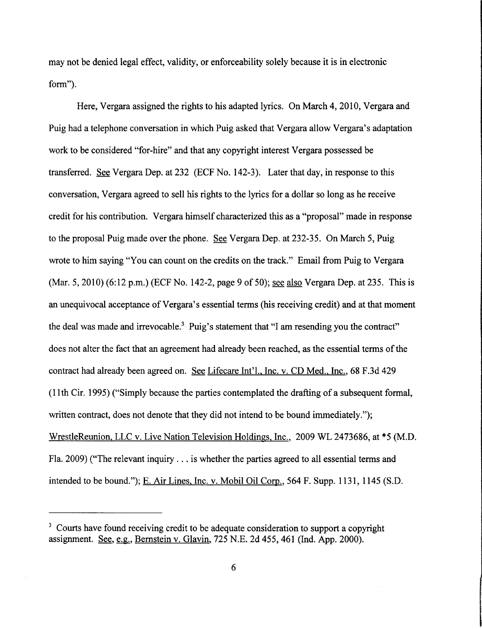may not be denied legal effect, validity, or enforceability solely because it is in electronic form").

Here, Vergara assigned the rights to his adapted lyrics. On March 4,2010, Vergara and Puig had a telephone conversation in which Puig asked that Vergara allow Vergara's adaptation work to be considered "for-hire" and that any copyright interest Vergara possessed be transferred. See Vergara Dep. at 232 (ECF No. 142-3). Later that day, in response to this conversation, Vergara agreed to sell his rights to the lyrics for a dollar so long as he receive credit for his contribution. Vergara himself characterized this as a "proposal" made in response to the proposal Puig made over the phone. See Vergara Dep. at 232-35. On March 5, Puig wrote to him saying "You can count on the credits on the track." Email from Puig to Vergara (Mar. 5,2010) (6:12 p.m.) (ECF No. 142-2, page 9 of 50); see also Vergara Dep. at 235. This is an unequivocal acceptance of Vergara's essential terms (his receiving credit) and at that moment the deal was made and irrevocable.<sup>3</sup> Puig's statement that "I am resending you the contract" does not alter the fact that an agreement had already been reached, as the essential terms of the contract had already been agreed on. See Lifecare Int'l., Inc. v. CD Med., Inc., 68 F.3d 429 (11 th Cir. 1995) ("Simply because the parties contemplated the drafting of a subsequent formal, written contract, does not denote that they did not intend to be bound immediately."); WrestleReunion, LLC v. Live Nation Television Holdings, Inc., 2009 WL 2473686, at \*5 (M.D. Fla. 2009) ("The relevant inquiry ... is whether the parties agreed to all essential terms and intended to be bound."); E. Air Lines, Inc. v. Mobil Oil Corp., 564 F. Supp. 1131, 1145 (S.D.

 $3$  Courts have found receiving credit to be adequate consideration to support a copyright assignment. See, e.g., Bernstein v. Glavin, 725 N.E. 2d 455, 461 (Ind. App. 2000).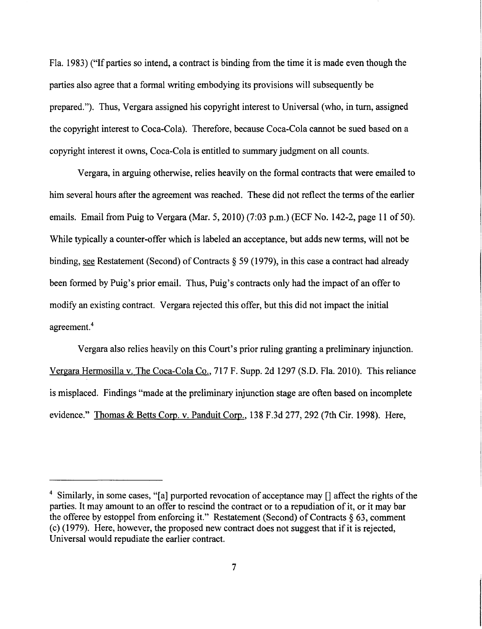Fla. 1983) ("If parties so intend, a contract is binding from the time it is made even though the parties also agree that a formal writing embodying its provisions will subsequently be prepared."). Thus, Vergara assigned his copyright interest to Universal (who, in turn, assigned the copyright interest to Coca-Cola). Therefore, because Coca-Cola cannot be sued based on a copyright interest it owns, Coca-Cola is entitled to summary judgment on all counts.

Vergara, in arguing otherwise, relies heavily on the formal contracts that were emailed to him several hours after the agreement was reached. These did not reflect the terms of the earlier emails. Email from Puig to Vergara (Mar. 5,2010) (7:03 p.m.) (ECF No. 142-2, page 11 of 50). While typically a counter-offer which is labeled an acceptance, but adds new terms, will not be binding, see Restatement (Second) of Contracts § 59 (1979), in this case a contract had already been formed by Puig's prior email. Thus, Puig's contracts only had the impact of an offer to modify an existing contract. Vergara rejected this offer, but this did not impact the initial agreement.<sup>4</sup>

Vergara also relies heavily on this Court's prior ruling granting a preliminary injunction. Vergara Hermosilla v. The Coca-Cola Co., 717 F. Supp. 2d 1297 (S.D. Fla. 2010). This reliance is misplaced. Findings "made at the preliminary injunction stage are often based on incomplete evidence." Thomas & Betts Corp. v. Panduit Corp., 138 F.3d 277, 292 (7th Cir. 1998). Here,

<sup>&</sup>lt;sup>4</sup> Similarly, in some cases, "[a] purported revocation of acceptance may [] affect the rights of the parties. It may amount to an offer to rescind the contract or to a repudiation of it, or it may bar the offeree by estoppel from enforcing it." Restatement (Second) of Contracts  $\S$  63, comment  $(c)$  (1979). Here, however, the proposed new contract does not suggest that if it is rejected, Universal would repudiate the earlier contract.